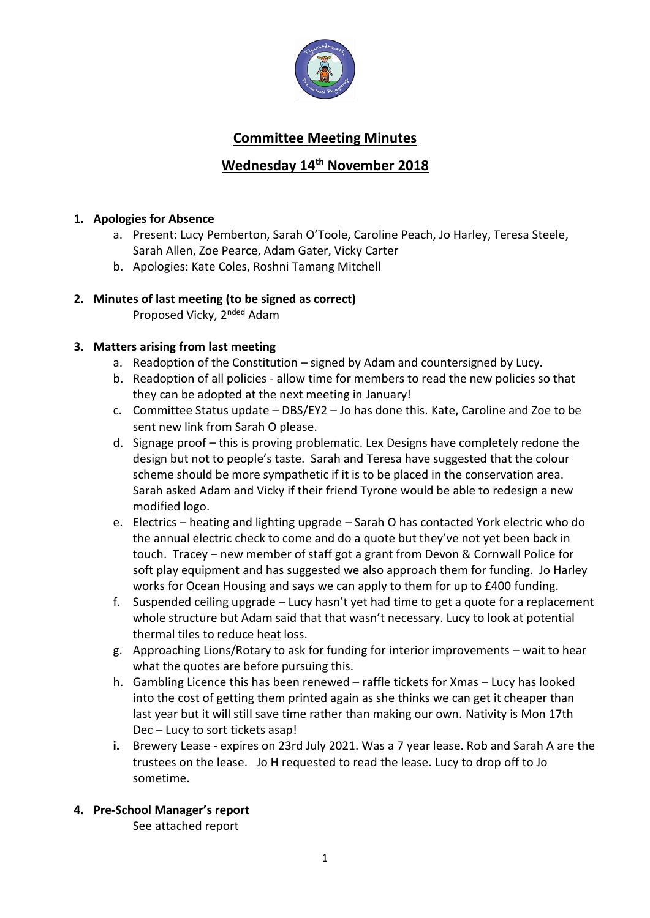

# **Committee Meeting Minutes**

# **Wednesday 14th November 2018**

## **1. Apologies for Absence**

- a. Present: Lucy Pemberton, Sarah O'Toole, Caroline Peach, Jo Harley, Teresa Steele, Sarah Allen, Zoe Pearce, Adam Gater, Vicky Carter
- b. Apologies: Kate Coles, Roshni Tamang Mitchell

# **2. Minutes of last meeting (to be signed as correct)**

Proposed Vicky, 2<sup>nded</sup> Adam

### **3. Matters arising from last meeting**

- a. Readoption of the Constitution signed by Adam and countersigned by Lucy.
- b. Readoption of all policies allow time for members to read the new policies so that they can be adopted at the next meeting in January!
- c. Committee Status update DBS/EY2 Jo has done this. Kate, Caroline and Zoe to be sent new link from Sarah O please.
- d. Signage proof this is proving problematic. Lex Designs have completely redone the design but not to people's taste. Sarah and Teresa have suggested that the colour scheme should be more sympathetic if it is to be placed in the conservation area. Sarah asked Adam and Vicky if their friend Tyrone would be able to redesign a new modified logo.
- e. Electrics heating and lighting upgrade Sarah O has contacted York electric who do the annual electric check to come and do a quote but they've not yet been back in touch. Tracey – new member of staff got a grant from Devon & Cornwall Police for soft play equipment and has suggested we also approach them for funding. Jo Harley works for Ocean Housing and says we can apply to them for up to £400 funding.
- f. Suspended ceiling upgrade Lucy hasn't yet had time to get a quote for a replacement whole structure but Adam said that that wasn't necessary. Lucy to look at potential thermal tiles to reduce heat loss.
- g. Approaching Lions/Rotary to ask for funding for interior improvements wait to hear what the quotes are before pursuing this.
- h. Gambling Licence this has been renewed raffle tickets for Xmas Lucy has looked into the cost of getting them printed again as she thinks we can get it cheaper than last year but it will still save time rather than making our own. Nativity is Mon 17th Dec – Lucy to sort tickets asap!
- **i.** Brewery Lease expires on 23rd July 2021. Was a 7 year lease. Rob and Sarah A are the trustees on the lease. Jo H requested to read the lease. Lucy to drop off to Jo sometime.

# **4. Pre-School Manager's report**

See attached report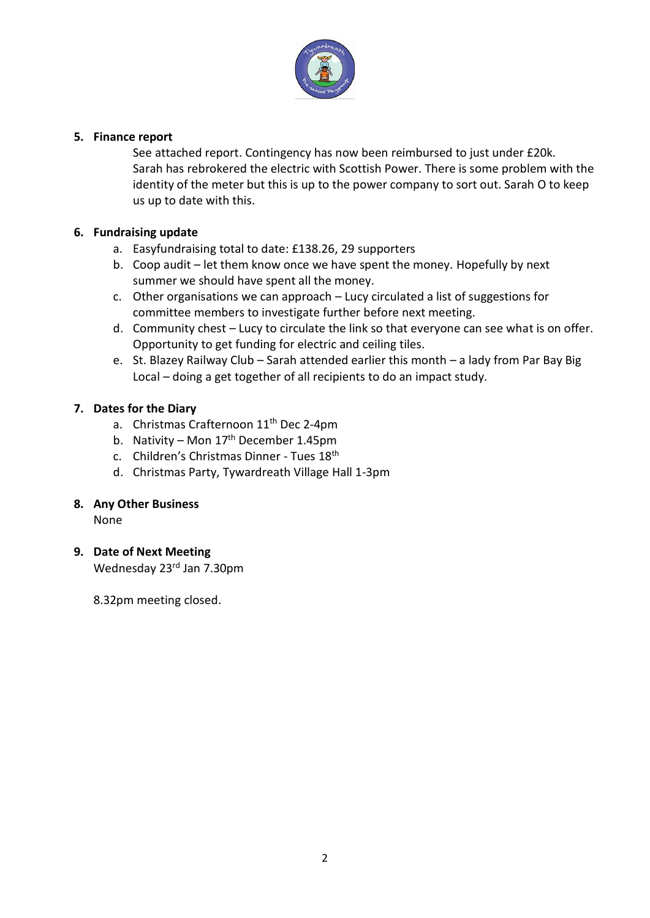

#### **5. Finance report**

See attached report. Contingency has now been reimbursed to just under £20k. Sarah has rebrokered the electric with Scottish Power. There is some problem with the identity of the meter but this is up to the power company to sort out. Sarah O to keep us up to date with this.

### **6. Fundraising update**

- a. Easyfundraising total to date: £138.26, 29 supporters
- b. Coop audit let them know once we have spent the money. Hopefully by next summer we should have spent all the money.
- c. Other organisations we can approach Lucy circulated a list of suggestions for committee members to investigate further before next meeting.
- d. Community chest Lucy to circulate the link so that everyone can see what is on offer. Opportunity to get funding for electric and ceiling tiles.
- e. St. Blazey Railway Club Sarah attended earlier this month a lady from Par Bay Big Local – doing a get together of all recipients to do an impact study.

## **7. Dates for the Diary**

- a. Christmas Crafternoon 11<sup>th</sup> Dec 2-4pm
- b. Nativity Mon  $17<sup>th</sup>$  December 1.45pm
- c. Children's Christmas Dinner Tues 18th
- d. Christmas Party, Tywardreath Village Hall 1-3pm

### **8. Any Other Business**

None

### **9. Date of Next Meeting**

Wednesday 23<sup>rd</sup> Jan 7.30pm

8.32pm meeting closed.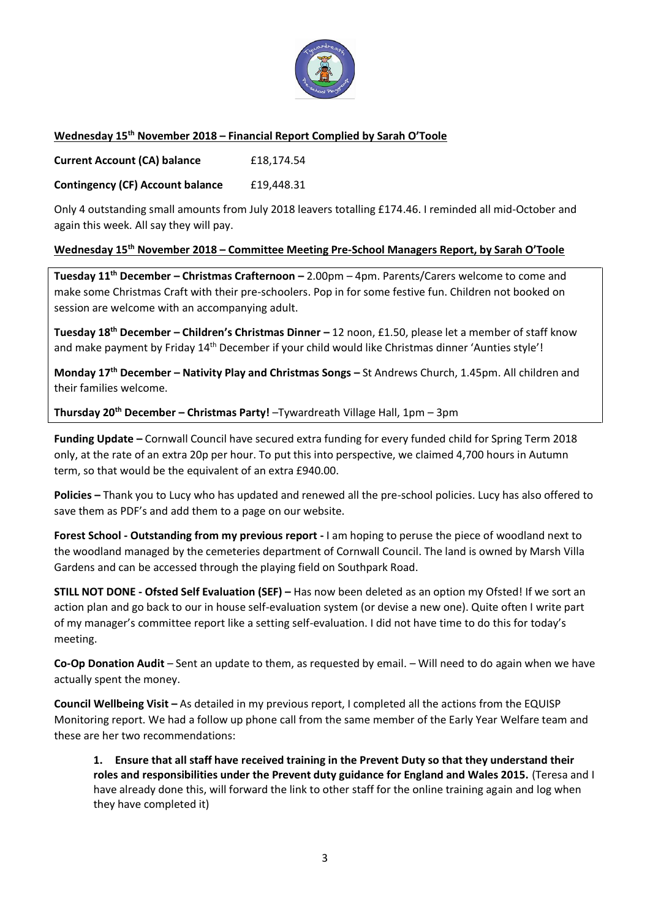

#### **Wednesday 15th November 2018 – Financial Report Complied by Sarah O'Toole**

**Current Account (CA) balance** £18,174.54

**Contingency (CF) Account balance** £19,448.31

Only 4 outstanding small amounts from July 2018 leavers totalling £174.46. I reminded all mid-October and again this week. All say they will pay.

#### **Wednesday 15th November 2018 – Committee Meeting Pre-School Managers Report, by Sarah O'Toole**

**Tuesday 11th December – Christmas Crafternoon –** 2.00pm – 4pm. Parents/Carers welcome to come and make some Christmas Craft with their pre-schoolers. Pop in for some festive fun. Children not booked on session are welcome with an accompanying adult.

**Tuesday 18th December – Children's Christmas Dinner –** 12 noon, £1.50, please let a member of staff know and make payment by Friday 14<sup>th</sup> December if your child would like Christmas dinner 'Aunties style'!

**Monday 17th December – Nativity Play and Christmas Songs –** St Andrews Church, 1.45pm. All children and their families welcome.

**Thursday 20th December – Christmas Party!** –Tywardreath Village Hall, 1pm – 3pm

**Funding Update –** Cornwall Council have secured extra funding for every funded child for Spring Term 2018 only, at the rate of an extra 20p per hour. To put this into perspective, we claimed 4,700 hours in Autumn term, so that would be the equivalent of an extra £940.00.

**Policies –** Thank you to Lucy who has updated and renewed all the pre-school policies. Lucy has also offered to save them as PDF's and add them to a page on our website.

**Forest School - Outstanding from my previous report -** I am hoping to peruse the piece of woodland next to the woodland managed by the cemeteries department of Cornwall Council. The land is owned by Marsh Villa Gardens and can be accessed through the playing field on Southpark Road.

**STILL NOT DONE - Ofsted Self Evaluation (SEF) –** Has now been deleted as an option my Ofsted! If we sort an action plan and go back to our in house self-evaluation system (or devise a new one). Quite often I write part of my manager's committee report like a setting self-evaluation. I did not have time to do this for today's meeting.

**Co-Op Donation Audit** – Sent an update to them, as requested by email. – Will need to do again when we have actually spent the money.

**Council Wellbeing Visit –** As detailed in my previous report, I completed all the actions from the EQUISP Monitoring report. We had a follow up phone call from the same member of the Early Year Welfare team and these are her two recommendations:

**1. Ensure that all staff have received training in the Prevent Duty so that they understand their roles and responsibilities under the Prevent duty guidance for England and Wales 2015.** (Teresa and I have already done this, will forward the link to other staff for the online training again and log when they have completed it)